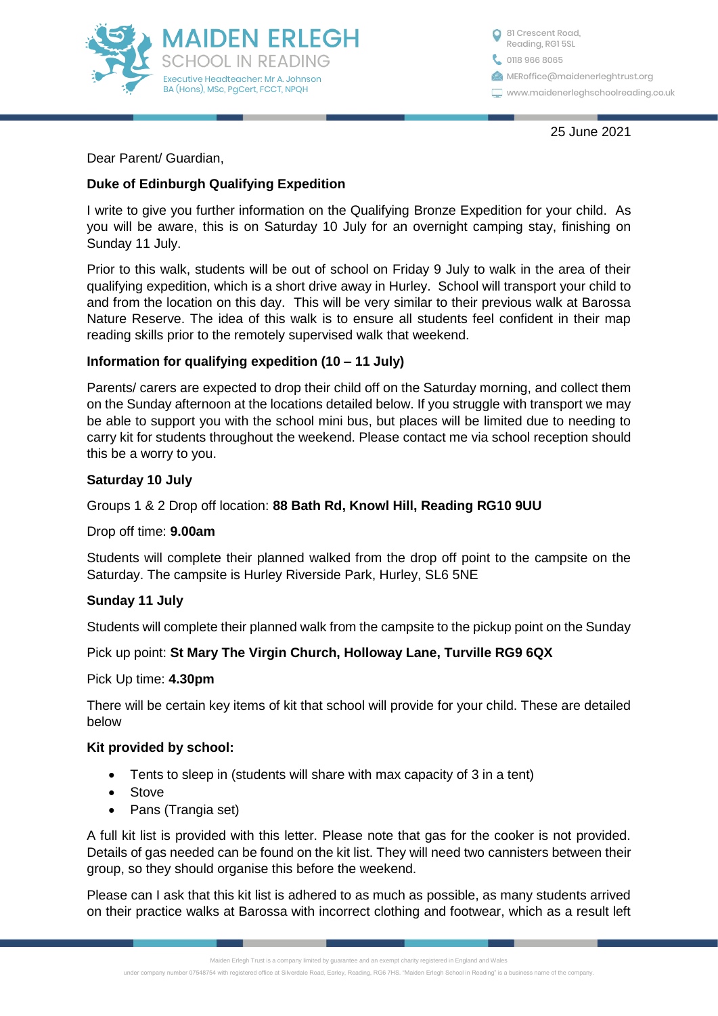

0118 966 8065 <sup>81</sup> Crescent Road, Reading, RG1 5SL **MERoffice**@maidenerleghtrust.org www.maidenerleghschoolreading.co.uk

25 June 2021

Dear Parent/ Guardian,

# **Duke of Edinburgh Qualifying Expedition**

I write to give you further information on the Qualifying Bronze Expedition for your child. As you will be aware, this is on Saturday 10 July for an overnight camping stay, finishing on Sunday 11 July.

Prior to this walk, students will be out of school on Friday 9 July to walk in the area of their qualifying expedition, which is a short drive away in Hurley. School will transport your child to and from the location on this day. This will be very similar to their previous walk at Barossa Nature Reserve. The idea of this walk is to ensure all students feel confident in their map reading skills prior to the remotely supervised walk that weekend.

## **Information for qualifying expedition (10 – 11 July)**

Parents/ carers are expected to drop their child off on the Saturday morning, and collect them on the Sunday afternoon at the locations detailed below. If you struggle with transport we may be able to support you with the school mini bus, but places will be limited due to needing to carry kit for students throughout the weekend. Please contact me via school reception should this be a worry to you.

#### **Saturday 10 July**

## Groups 1 & 2 Drop off location: **88 Bath Rd, Knowl Hill, Reading RG10 9UU**

#### Drop off time: **9.00am**

Students will complete their planned walked from the drop off point to the campsite on the Saturday. The campsite is Hurley Riverside Park, Hurley, SL6 5NE

## **Sunday 11 July**

Students will complete their planned walk from the campsite to the pickup point on the Sunday

## Pick up point: **St Mary The Virgin Church, Holloway Lane, Turville RG9 6QX**

#### Pick Up time: **4.30pm**

There will be certain key items of kit that school will provide for your child. These are detailed below

#### **Kit provided by school:**

- Tents to sleep in (students will share with max capacity of 3 in a tent)
- Stove
- Pans (Trangia set)

A full kit list is provided with this letter. Please note that gas for the cooker is not provided. Details of gas needed can be found on the kit list. They will need two cannisters between their group, so they should organise this before the weekend.

Please can I ask that this kit list is adhered to as much as possible, as many students arrived on their practice walks at Barossa with incorrect clothing and footwear, which as a result left

Maiden Erlegh Trust is a company limited by guarantee and an exempt charity registered in England and Wales

under company number 07548754 with registered office at Silverdale Road, Earley, Reading, RG6 7HS, "Maiden Erlegh School in Reading" is a business name of the co